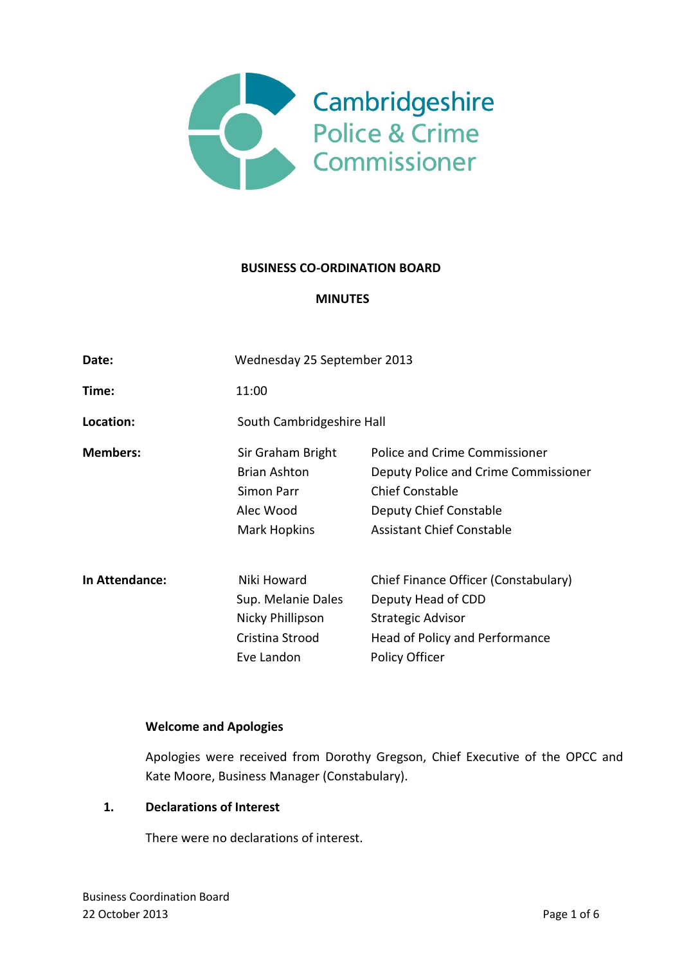

### **BUSINESS CO-ORDINATION BOARD**

### **MINUTES**

| Date:           | Wednesday 25 September 2013                                                                |                                                                                                                                                               |
|-----------------|--------------------------------------------------------------------------------------------|---------------------------------------------------------------------------------------------------------------------------------------------------------------|
| Time:           | 11:00                                                                                      |                                                                                                                                                               |
| Location:       | South Cambridgeshire Hall                                                                  |                                                                                                                                                               |
| <b>Members:</b> | Sir Graham Bright<br><b>Brian Ashton</b><br>Simon Parr<br>Alec Wood<br><b>Mark Hopkins</b> | Police and Crime Commissioner<br>Deputy Police and Crime Commissioner<br><b>Chief Constable</b><br>Deputy Chief Constable<br><b>Assistant Chief Constable</b> |
| In Attendance:  | Niki Howard<br>Sup. Melanie Dales<br>Nicky Phillipson<br>Cristina Strood<br>Eve Landon     | Chief Finance Officer (Constabulary)<br>Deputy Head of CDD<br>Strategic Advisor<br>Head of Policy and Performance<br>Policy Officer                           |

### **Welcome and Apologies**

Apologies were received from Dorothy Gregson, Chief Executive of the OPCC and Kate Moore, Business Manager (Constabulary).

### **1. Declarations of Interest**

There were no declarations of interest.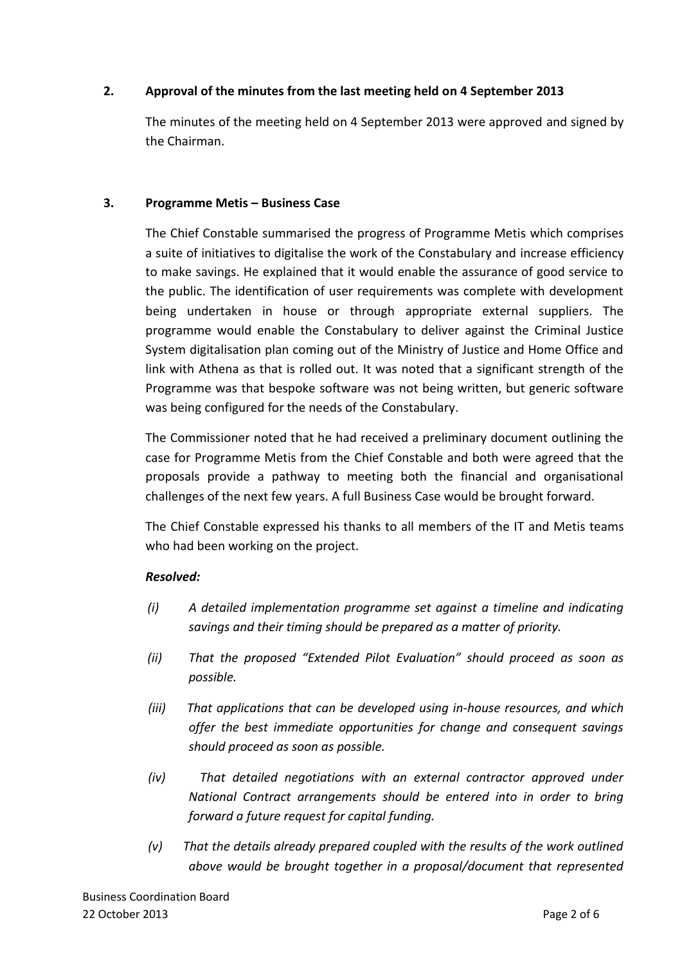# **2. Approval of the minutes from the last meeting held on 4 September 2013**

The minutes of the meeting held on 4 September 2013 were approved and signed by the Chairman.

## **3. Programme Metis – Business Case**

The Chief Constable summarised the progress of Programme Metis which comprises a suite of initiatives to digitalise the work of the Constabulary and increase efficiency to make savings. He explained that it would enable the assurance of good service to the public. The identification of user requirements was complete with development being undertaken in house or through appropriate external suppliers. The programme would enable the Constabulary to deliver against the Criminal Justice System digitalisation plan coming out of the Ministry of Justice and Home Office and link with Athena as that is rolled out. It was noted that a significant strength of the Programme was that bespoke software was not being written, but generic software was being configured for the needs of the Constabulary.

The Commissioner noted that he had received a preliminary document outlining the case for Programme Metis from the Chief Constable and both were agreed that the proposals provide a pathway to meeting both the financial and organisational challenges of the next few years. A full Business Case would be brought forward.

The Chief Constable expressed his thanks to all members of the IT and Metis teams who had been working on the project.

# *Resolved:*

- *(i) A detailed implementation programme set against a timeline and indicating savings and their timing should be prepared as a matter of priority.*
- *(ii) That the proposed "Extended Pilot Evaluation" should proceed as soon as possible.*
- *(iii) That applications that can be developed using in-house resources, and which offer the best immediate opportunities for change and consequent savings should proceed as soon as possible.*
- *(iv) That detailed negotiations with an external contractor approved under National Contract arrangements should be entered into in order to bring forward a future request for capital funding.*
- *(v) That the details already prepared coupled with the results of the work outlined above would be brought together in a proposal/document that represented*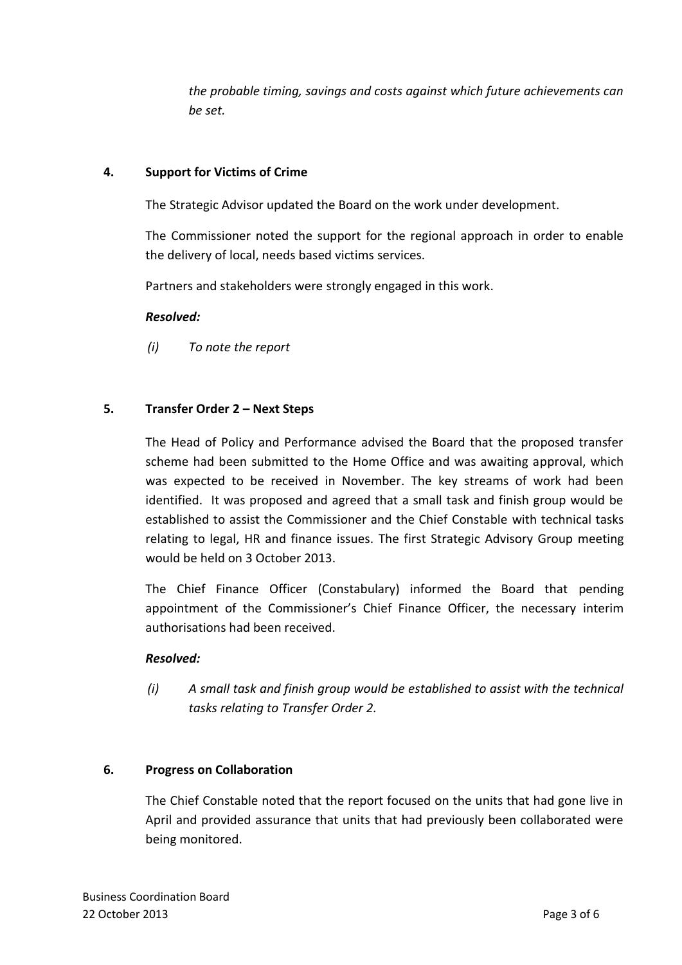*the probable timing, savings and costs against which future achievements can be set.* 

## **4. Support for Victims of Crime**

The Strategic Advisor updated the Board on the work under development.

The Commissioner noted the support for the regional approach in order to enable the delivery of local, needs based victims services.

Partners and stakeholders were strongly engaged in this work.

### *Resolved:*

*(i) To note the report*

## **5. Transfer Order 2 – Next Steps**

The Head of Policy and Performance advised the Board that the proposed transfer scheme had been submitted to the Home Office and was awaiting approval, which was expected to be received in November. The key streams of work had been identified. It was proposed and agreed that a small task and finish group would be established to assist the Commissioner and the Chief Constable with technical tasks relating to legal, HR and finance issues. The first Strategic Advisory Group meeting would be held on 3 October 2013.

The Chief Finance Officer (Constabulary) informed the Board that pending appointment of the Commissioner's Chief Finance Officer, the necessary interim authorisations had been received.

### *Resolved:*

*(i) A small task and finish group would be established to assist with the technical tasks relating to Transfer Order 2.* 

### **6. Progress on Collaboration**

The Chief Constable noted that the report focused on the units that had gone live in April and provided assurance that units that had previously been collaborated were being monitored.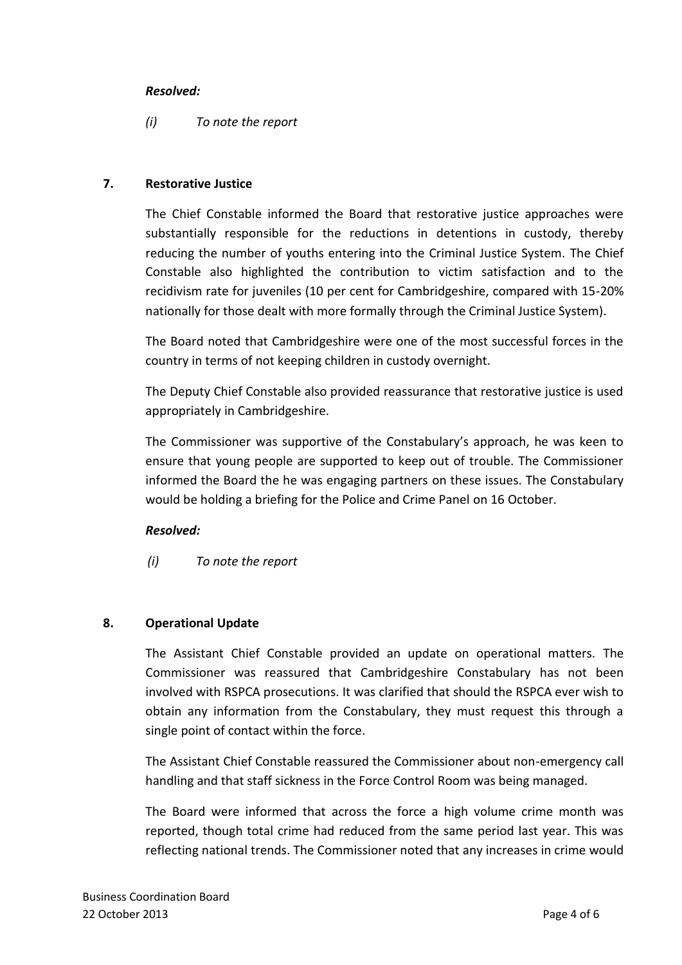## *Resolved:*

# *(i) To note the report*

## **7. Restorative Justice**

The Chief Constable informed the Board that restorative justice approaches were substantially responsible for the reductions in detentions in custody, thereby reducing the number of youths entering into the Criminal Justice System. The Chief Constable also highlighted the contribution to victim satisfaction and to the recidivism rate for juveniles (10 per cent for Cambridgeshire, compared with 15-20% nationally for those dealt with more formally through the Criminal Justice System).

The Board noted that Cambridgeshire were one of the most successful forces in the country in terms of not keeping children in custody overnight.

The Deputy Chief Constable also provided reassurance that restorative justice is used appropriately in Cambridgeshire.

The Commissioner was supportive of the Constabulary's approach, he was keen to ensure that young people are supported to keep out of trouble. The Commissioner informed the Board the he was engaging partners on these issues. The Constabulary would be holding a briefing for the Police and Crime Panel on 16 October.

# *Resolved:*

*(i) To note the report*

# **8. Operational Update**

The Assistant Chief Constable provided an update on operational matters. The Commissioner was reassured that Cambridgeshire Constabulary has not been involved with RSPCA prosecutions. It was clarified that should the RSPCA ever wish to obtain any information from the Constabulary, they must request this through a single point of contact within the force.

The Assistant Chief Constable reassured the Commissioner about non-emergency call handling and that staff sickness in the Force Control Room was being managed.

The Board were informed that across the force a high volume crime month was reported, though total crime had reduced from the same period last year. This was reflecting national trends. The Commissioner noted that any increases in crime would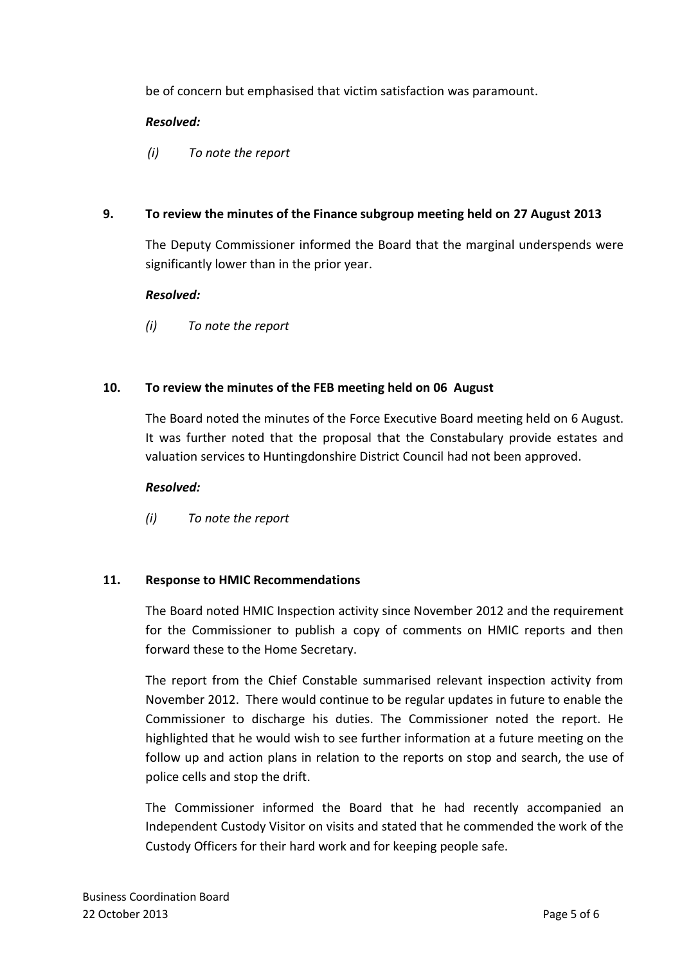be of concern but emphasised that victim satisfaction was paramount.

# *Resolved:*

*(i) To note the report*

# **9. To review the minutes of the Finance subgroup meeting held on 27 August 2013**

The Deputy Commissioner informed the Board that the marginal underspends were significantly lower than in the prior year.

## *Resolved:*

*(i) To note the report*

# **10. To review the minutes of the FEB meeting held on 06 August**

The Board noted the minutes of the Force Executive Board meeting held on 6 August. It was further noted that the proposal that the Constabulary provide estates and valuation services to Huntingdonshire District Council had not been approved.

## *Resolved:*

*(i) To note the report*

# **11. Response to HMIC Recommendations**

The Board noted HMIC Inspection activity since November 2012 and the requirement for the Commissioner to publish a copy of comments on HMIC reports and then forward these to the Home Secretary.

The report from the Chief Constable summarised relevant inspection activity from November 2012. There would continue to be regular updates in future to enable the Commissioner to discharge his duties. The Commissioner noted the report. He highlighted that he would wish to see further information at a future meeting on the follow up and action plans in relation to the reports on stop and search, the use of police cells and stop the drift.

The Commissioner informed the Board that he had recently accompanied an Independent Custody Visitor on visits and stated that he commended the work of the Custody Officers for their hard work and for keeping people safe.